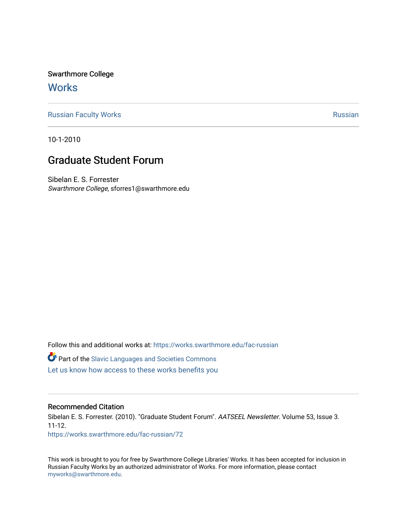Swarthmore College **Works** 

[Russian Faculty Works](https://works.swarthmore.edu/fac-russian) **Russian** [Russian](https://works.swarthmore.edu/russian) Russian Russian

10-1-2010

## Graduate Student Forum

Sibelan E. S. Forrester Swarthmore College, sforres1@swarthmore.edu

Follow this and additional works at: [https://works.swarthmore.edu/fac-russian](https://works.swarthmore.edu/fac-russian?utm_source=works.swarthmore.edu%2Ffac-russian%2F72&utm_medium=PDF&utm_campaign=PDFCoverPages)  **C** Part of the Slavic Languages and Societies Commons

[Let us know how access to these works benefits you](https://forms.gle/4MB8mE2GywC5965J8) 

### Recommended Citation

Sibelan E. S. Forrester. (2010). "Graduate Student Forum". AATSEEL Newsletter. Volume 53, Issue 3. 11-12. <https://works.swarthmore.edu/fac-russian/72>

This work is brought to you for free by Swarthmore College Libraries' Works. It has been accepted for inclusion in Russian Faculty Works by an authorized administrator of Works. For more information, please contact [myworks@swarthmore.edu.](mailto:myworks@swarthmore.edu)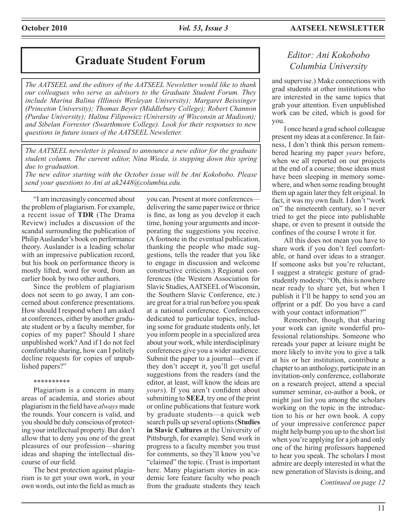# **Graduate Student Forum** *Editor: Ani Kokobobo*

*The AATSEEL and the editors of the AATSEEL Newsletter would like to thank our colleagues who serve as advisors to the Graduate Student Forum. They include Marina Balina (Illinois Wesleyan University); Margaret Beissinger (Princeton University); Thomas Beyer (Middlebury College); Robert Channon (Purdue University); Halina Filipowicz (University of Wisconsin at Madison); and Sibelan Forrester (Swarthmore College). Look for their responses to new questions in future issues of the AATSEEL Newsletter.* 

*The AATSEEL newsletter is pleased to announce a new editor for the graduate student column. The current editor, Nina Wieda, is stepping down this spring due to graduation.*

*The new editor starting with the October issue will be Ani Kokobobo. Please send your questions to Ani at ak2448@columbia.edu.*

"I am increasingly concerned about the problem of plagiarism. For example, a recent issue of **TDR** (The Drama Review) includes a discussion of the scandal surrounding the publication of Philip Auslander's book on performance theory. Auslander is a leading scholar with an impressive publication record, but his book on performance theory is mostly lifted, word for word, from an earlier book by two other authors.

Since the problem of plagiarism does not seem to go away, I am concerned about conference presentations. How should I respond when I am asked at conferences, either by another graduate student or by a faculty member, for copies of my paper? Should I share unpublished work? And if I do not feel comfortable sharing, how can I politely decline requests for copies of unpublished papers?"

#### \*\*\*\*\*\*\*\*\*\*

Plagiarism is a concern in many areas of academia, and stories about plagiarism in the field have *always* made the rounds. Your concern is valid, and you should be duly conscious of protecting your intellectual property. But don't allow that to deny you one of the great pleasures of our profession—sharing ideas and shaping the intellectual discourse of our field.

The best protection against plagiarism is to get your own work, in your own words, out into the field as much as you can. Present at more conferences delivering the same paper twice or thrice is fine, as long as you develop it each time, honing your arguments and incorporating the suggestions you receive. (A footnote in the eventual publication, thanking the people who made suggestions, tells the reader that you like to engage in discussion and welcome constructive criticism.) Regional conferences (the Western Association for Slavic Studies, AATSEEL of Wisconsin, the Southern Slavic Conference, etc.) are great for a trial run before you speak at a national conference. Conferences dedicated to particular topics, including some for graduate students only, let you inform people in a specialized area about your work, while interdisciplinary conferences give you a wider audience. Submit the paper to a journal—even if they don't accept it, you'll get useful suggestions from the readers (and the editor, at least, will know the ideas are *yours*). If you aren't confident about submitting to **SEEJ**, try one of the print or online publications that feature work by graduate students—a quick web search pulls up several options (**Studies in Slavic Cultures** at the University of Pittsburgh, for example). Send work in progress to a faculty member you trust for comments, so they'll know you've "claimed" the topic. (Trust is important here. Many plagiarism stories in academic lore feature faculty who poach from the graduate students they teach

# *Columbia University*

and supervise.) Make connections with grad students at other institutions who are interested in the same topics that grab your attention. Even unpublished work can be cited, which is good for you.

I once heard a grad school colleague present my ideas at a conference. In fairness, I don't think this person remembered hearing my paper *years* before, when we all reported on our projects at the end of a course; those ideas must have been sleeping in memory somewhere, and when some reading brought them up again later they felt original. In fact, it was my own fault. I don't "work on" the nineteenth century, so I never tried to get the piece into publishable shape, or even to present it outside the confines of the course I wrote it for.

All this does not mean you have to share work if you don't feel comfortable, or hand over ideas to a stranger. If someone asks but you're reluctant, I suggest a strategic gesture of gradstudently modesty: "Oh, this is nowhere near ready to share yet, but when I publish it I'll be happy to send you an offprint or a pdf. Do you have a card with your contact information?"

Remember, though, that sharing your work can ignite wonderful professional relationships. Someone who rereads your paper at leisure might be more likely to invite you to give a talk at his or her institution, contribute a chapter to an anthology, participate in an invitation-only conference, collaborate on a research project, attend a special summer seminar, co-author a book, or might just list you among the scholars working on the topic in the introduction to his or her own book. A copy of your impressive conference paper might help bump you up to the short list when you're applying for a job and only one of the hiring professors happened to hear you speak. The scholars I most admire are deeply interested in what the new generation of Slavists is doing, and

*Continued on page 12*